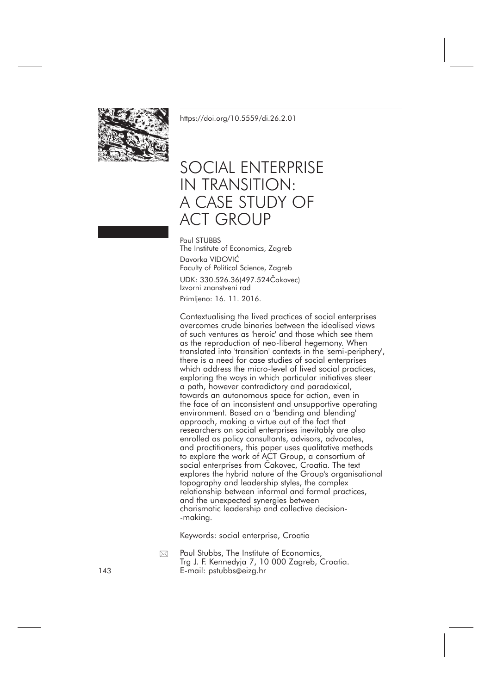

<https://doi.org/10.5559/di.26.2.01>

# SOCIAL ENTERPRISE IN TRANSITION: A CASE STUDY OF ACT GROUP

Paul STUBBS The Institute of Economics, Zagreb Davorka VIDOVIĆ Faculty of Political Science, Zagreb

UDK: 330.526.36(497.524Čakovec) Izvorni znanstveni rad Primljeno: 16. 11. 2016.

Contextualising the lived practices of social enterprises overcomes crude binaries between the idealised views of such ventures as 'heroic' and those which see them as the reproduction of neo-liberal hegemony. When translated into 'transition' contexts in the 'semi-periphery', there is a need for case studies of social enterprises which address the micro-level of lived social practices, exploring the ways in which particular initiatives steer a path, however contradictory and paradoxical, towards an autonomous space for action, even in the face of an inconsistent and unsupportive operating environment. Based on a 'bending and blending' approach, making a virtue out of the fact that researchers on social enterprises inevitably are also enrolled as policy consultants, advisors, advocates, and practitioners, this paper uses qualitative methods to explore the work of ACT Group, a consortium of social enterprises from Čakovec, Croatia. The text explores the hybrid nature of the Group's organisational topography and leadership styles, the complex relationship between informal and formal practices, and the unexpected synergies between charismatic leadership and collective decision- -making.

Keywords: social enterprise, Croatia

Paul Stubbs, The Institute of Economics, Trg J. F. Kennedyja 7, 10 000 Zagreb, Croatia. 143 E-mail: pstubbs@eizg.hr  $\boxtimes$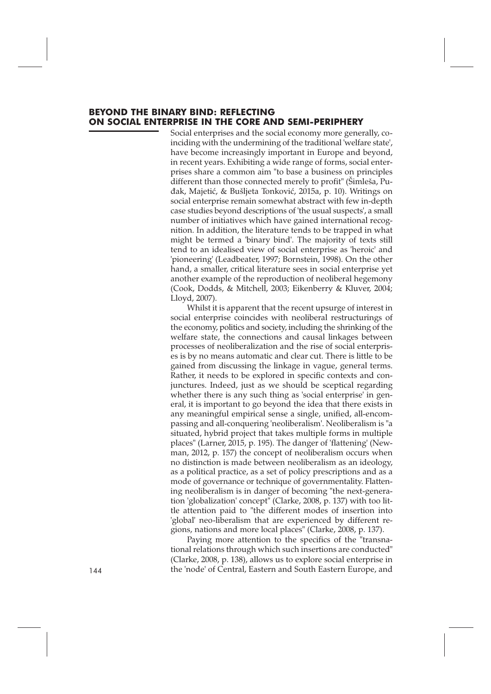# **BEYOND THE BINARY BIND: REFLECTING ON SOCIAL ENTERPRISE IN THE CORE AND SEMI-PERIPHERY**

Social enterprises and the social economy more generally, coinciding with the undermining of the traditional 'welfare state', have become increasingly important in Europe and beyond, in recent years. Exhibiting a wide range of forms, social enterprises share a common aim "to base a business on principles different than those connected merely to profit" (Šimleša, Puđak, Majetić, & Bušljeta Tonković, 2015a, p. 10). Writings on social enterprise remain somewhat abstract with few in-depth case studies beyond descriptions of 'the usual suspects', a small number of initiatives which have gained international recognition. In addition, the literature tends to be trapped in what might be termed a 'binary bind'. The majority of texts still tend to an idealised view of social enterprise as 'heroic' and 'pioneering' (Leadbeater, 1997; Bornstein, 1998). On the other hand, a smaller, critical literature sees in social enterprise yet another example of the reproduction of neoliberal hegemony (Cook, Dodds, & Mitchell, 2003; Eikenberry & Kluver, 2004; Lloyd, 2007).

Whilst it is apparent that the recent upsurge of interest in social enterprise coincides with neoliberal restructurings of the economy, politics and society, including the shrinking of the welfare state, the connections and causal linkages between processes of neoliberalization and the rise of social enterprises is by no means automatic and clear cut. There is little to be gained from discussing the linkage in vague, general terms. Rather, it needs to be explored in specific contexts and conjunctures. Indeed, just as we should be sceptical regarding whether there is any such thing as 'social enterprise' in general, it is important to go beyond the idea that there exists in any meaningful empirical sense a single, unified, all-encompassing and all-conquering 'neoliberalism'. Neoliberalism is "a situated, hybrid project that takes multiple forms in multiple places" (Larner, 2015, p. 195). The danger of 'flattening' (Newman, 2012, p. 157) the concept of neoliberalism occurs when no distinction is made between neoliberalism as an ideology, as a political practice, as a set of policy prescriptions and as a mode of governance or technique of governmentality. Flattening neoliberalism is in danger of becoming "the next-generation 'globalization' concept" (Clarke, 2008, p. 137) with too little attention paid to "the different modes of insertion into 'global' neo-liberalism that are experienced by different regions, nations and more local places" (Clarke, 2008, p. 137).

Paying more attention to the specifics of the "transnational relations through which such insertions are conducted" (Clarke, 2008, p. 138), allows us to explore social enterprise in 144 the 'node' of Central, Eastern and South Eastern Europe, and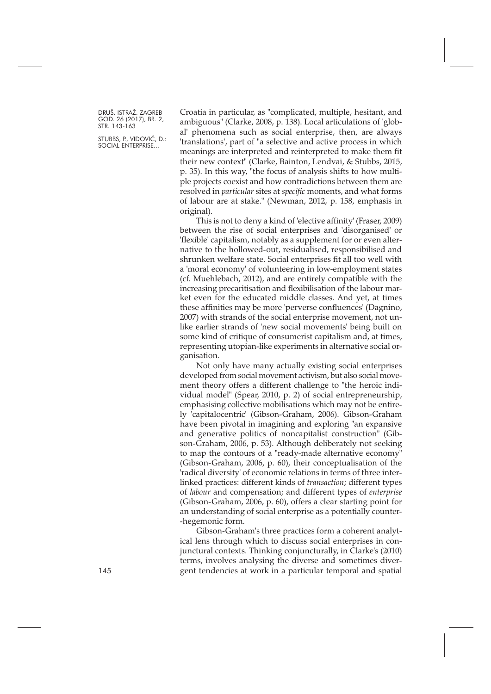STUBBS, P., VIDOVIĆ, D.: SOCIAL ENTERPRISE...

Croatia in particular, as "complicated, multiple, hesitant, and ambiguous" (Clarke, 2008, p. 138). Local articulations of 'global' phenomena such as social enterprise, then, are always 'translations', part of "a selective and active process in which meanings are interpreted and reinterpreted to make them fit their new context" (Clarke, Bainton, Lendvai, & Stubbs, 2015, p. 35). In this way, "the focus of analysis shifts to how multiple projects coexist and how contradictions between them are resolved in *particular* sites at *specific* moments, and what forms of labour are at stake." (Newman, 2012, p. 158, emphasis in original).

This is not to deny a kind of 'elective affinity' (Fraser, 2009) between the rise of social enterprises and 'disorganised' or 'flexible' capitalism, notably as a supplement for or even alternative to the hollowed-out, residualised, responsibilised and shrunken welfare state. Social enterprises fit all too well with a 'moral economy' of volunteering in low-employment states (cf. Muehlebach, 2012), and are entirely compatible with the increasing precaritisation and flexibilisation of the labour market even for the educated middle classes. And yet, at times these affinities may be more 'perverse confluences' (Dagnino, 2007) with strands of the social enterprise movement, not unlike earlier strands of 'new social movements' being built on some kind of critique of consumerist capitalism and, at times, representing utopian-like experiments in alternative social organisation.

Not only have many actually existing social enterprises developed from social movement activism, but also social movement theory offers a different challenge to "the heroic individual model" (Spear, 2010, p. 2) of social entrepreneurship, emphasising collective mobilisations which may not be entirely 'capitalocentric' (Gibson-Graham, 2006). Gibson-Graham have been pivotal in imagining and exploring "an expansive and generative politics of noncapitalist construction" (Gibson-Graham, 2006, p. 53). Although deliberately not seeking to map the contours of a "ready-made alternative economy" (Gibson-Graham, 2006, p. 60), their conceptualisation of the 'radical diversity' of economic relations in terms of three interlinked practices: different kinds of *transaction*; different types of *labour* and compensation; and different types of *enterprise* (Gibson-Graham, 2006, p. 60), offers a clear starting point for an understanding of social enterprise as a potentially counter- -hegemonic form.

Gibson-Graham's three practices form a coherent analytical lens through which to discuss social enterprises in conjunctural contexts. Thinking conjuncturally, in Clarke's (2010) terms, involves analysing the diverse and sometimes diver-145 gent tendencies at work in a particular temporal and spatial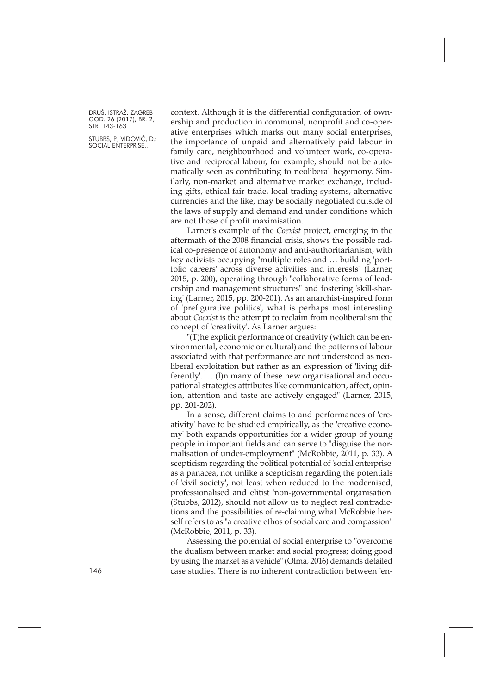STUBBS, P., VIDOVIĆ, D.: SOCIAL ENTERPRISE...

context. Although it is the differential configuration of ownership and production in communal, nonprofit and co-operative enterprises which marks out many social enterprises, the importance of unpaid and alternatively paid labour in family care, neighbourhood and volunteer work, co-operative and reciprocal labour, for example, should not be automatically seen as contributing to neoliberal hegemony. Similarly, non-market and alternative market exchange, including gifts, ethical fair trade, local trading systems, alternative currencies and the like, may be socially negotiated outside of the laws of supply and demand and under conditions which are not those of profit maximisation.

Larner's example of the *Coexist* project, emerging in the aftermath of the 2008 financial crisis, shows the possible radical co-presence of autonomy and anti-authoritarianism, with key activists occupying "multiple roles and … building 'portfolio careers' across diverse activities and interests" (Larner, 2015, p. 200), operating through "collaborative forms of leadership and management structures" and fostering 'skill-sharing' (Larner, 2015, pp. 200-201). As an anarchist-inspired form of 'prefigurative politics', what is perhaps most interesting about *Coexist* is the attempt to reclaim from neoliberalism the concept of 'creativity'. As Larner argues:

"(T)he explicit performance of creativity (which can be environmental, economic or cultural) and the patterns of labour associated with that performance are not understood as neoliberal exploitation but rather as an expression of 'living differently'. … (I)n many of these new organisational and occupational strategies attributes like communication, affect, opinion, attention and taste are actively engaged" (Larner, 2015, pp. 201-202).

In a sense, different claims to and performances of 'creativity' have to be studied empirically, as the 'creative economy' both expands opportunities for a wider group of young people in important fields and can serve to "disguise the normalisation of under-employment" (McRobbie, 2011, p. 33). A scepticism regarding the political potential of 'social enterprise' as a panacea, not unlike a scepticism regarding the potentials of 'civil society', not least when reduced to the modernised, professionalised and elitist 'non-governmental organisation' (Stubbs, 2012), should not allow us to neglect real contradictions and the possibilities of re-claiming what McRobbie herself refers to as "a creative ethos of social care and compassion" (McRobbie, 2011, p. 33).

Assessing the potential of social enterprise to "overcome the dualism between market and social progress; doing good by using the market as a vehicle" (Olma, 2016) demands detailed case studies. There is no inherent contradiction between 'en-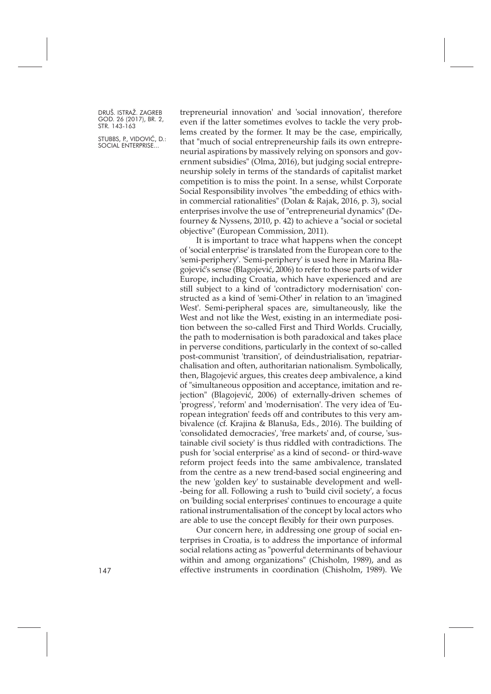STUBBS, P., VIDOVIĆ, D.: SOCIAL ENTERPRISE...

trepreneurial innovation' and 'social innovation', therefore even if the latter sometimes evolves to tackle the very problems created by the former. It may be the case, empirically, that "much of social entrepreneurship fails its own entrepreneurial aspirations by massively relying on sponsors and government subsidies" (Olma, 2016), but judging social entrepreneurship solely in terms of the standards of capitalist market competition is to miss the point. In a sense, whilst Corporate Social Responsibility involves "the embedding of ethics within commercial rationalities" (Dolan & Rajak, 2016, p. 3), social enterprises involve the use of "entrepreneurial dynamics" (Defourney & Nyssens, 2010, p. 42) to achieve a "social or societal objective" (European Commission, 2011).

It is important to trace what happens when the concept of 'social enterprise' is translated from the European core to the 'semi-periphery'. 'Semi-periphery' is used here in Marina Blagojević's sense (Blagojević, 2006) to refer to those parts of wider Europe, including Croatia, which have experienced and are still subject to a kind of 'contradictory modernisation' constructed as a kind of 'semi-Other' in relation to an 'imagined West'. Semi-peripheral spaces are, simultaneously, like the West and not like the West, existing in an intermediate position between the so-called First and Third Worlds. Crucially, the path to modernisation is both paradoxical and takes place in perverse conditions, particularly in the context of so-called post-communist 'transition', of deindustrialisation, repatriarchalisation and often, authoritarian nationalism. Symbolically, then, Blagojević argues, this creates deep ambivalence, a kind of "simultaneous opposition and acceptance, imitation and rejection" (Blagojević, 2006) of externally-driven schemes of 'progress', 'reform' and 'modernisation'. The very idea of 'European integration' feeds off and contributes to this very ambivalence (cf. Krajina & Blanuša, Eds., 2016). The building of 'consolidated democracies', 'free markets' and, of course, 'sustainable civil society' is thus riddled with contradictions. The push for 'social enterprise' as a kind of second- or third-wave reform project feeds into the same ambivalence, translated from the centre as a new trend-based social engineering and the new 'golden key' to sustainable development and well- -being for all. Following a rush to 'build civil society', a focus on 'building social enterprises' continues to encourage a quite rational instrumentalisation of the concept by local actors who are able to use the concept flexibly for their own purposes.

Our concern here, in addressing one group of social enterprises in Croatia, is to address the importance of informal social relations acting as "powerful determinants of behaviour within and among organizations" (Chisholm, 1989), and as 147 effective instruments in coordination (Chisholm, 1989). We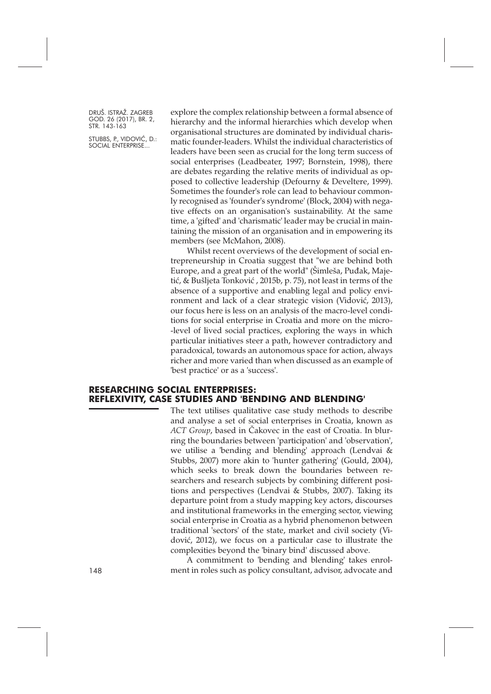STUBBS, P., VIDOVIĆ, D.: SOCIAL ENTERPRISE...

explore the complex relationship between a formal absence of hierarchy and the informal hierarchies which develop when organisational structures are dominated by individual charismatic founder-leaders. Whilst the individual characteristics of leaders have been seen as crucial for the long term success of social enterprises (Leadbeater, 1997; Bornstein, 1998), there are debates regarding the relative merits of individual as opposed to collective leadership (Defourny & Develtere, 1999). Sometimes the founder's role can lead to behaviour commonly recognised as 'founder's syndrome' (Block, 2004) with negative effects on an organisation's sustainability. At the same time, a 'gifted' and 'charismatic' leader may be crucial in maintaining the mission of an organisation and in empowering its members (see McMahon, 2008).

Whilst recent overviews of the development of social entrepreneurship in Croatia suggest that "we are behind both Europe, and a great part of the world" (Šimleša, Puđak, Majetić, & Bušljeta Tonković , 2015b, p. 75), not least in terms of the absence of a supportive and enabling legal and policy environment and lack of a clear strategic vision (Vidović, 2013), our focus here is less on an analysis of the macro-level conditions for social enterprise in Croatia and more on the micro- -level of lived social practices, exploring the ways in which particular initiatives steer a path, however contradictory and paradoxical, towards an autonomous space for action, always richer and more varied than when discussed as an example of 'best practice' or as a 'success'.

# **RESEARCHING SOCIAL ENTERPRISES: REFLEXIVITY, CASE STUDIES AND 'BENDING AND BLENDING'**

The text utilises qualitative case study methods to describe and analyse a set of social enterprises in Croatia, known as *ACT Group*, based in Čakovec in the east of Croatia. In blurring the boundaries between 'participation' and 'observation', we utilise a 'bending and blending' approach (Lendvai & Stubbs, 2007) more akin to 'hunter gathering' (Gould, 2004), which seeks to break down the boundaries between researchers and research subjects by combining different positions and perspectives (Lendvai & Stubbs, 2007). Taking its departure point from a study mapping key actors, discourses and institutional frameworks in the emerging sector, viewing social enterprise in Croatia as a hybrid phenomenon between traditional 'sectors' of the state, market and civil society (Vidović, 2012), we focus on a particular case to illustrate the complexities beyond the 'binary bind' discussed above.

A commitment to 'bending and blending' takes enrolment in roles such as policy consultant, advisor, advocate and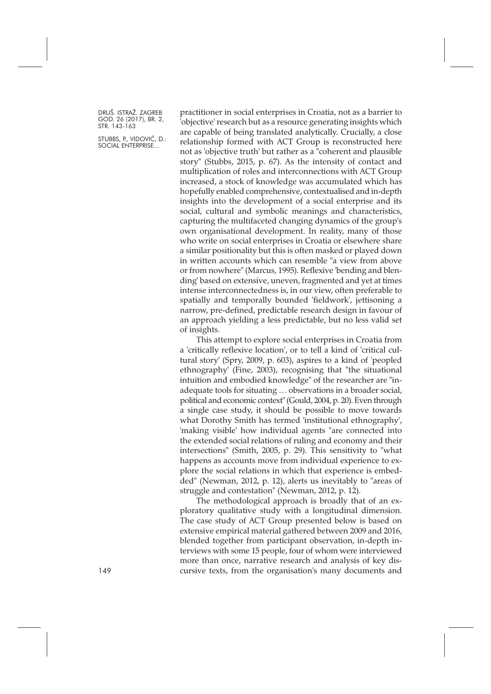STUBBS, P., VIDOVIĆ, D.: SOCIAL ENTERPRISE...

practitioner in social enterprises in Croatia, not as a barrier to 'objective' research but as a resource generating insights which are capable of being translated analytically. Crucially, a close relationship formed with ACT Group is reconstructed here not as 'objective truth' but rather as a "coherent and plausible story" (Stubbs, 2015, p. 67). As the intensity of contact and multiplication of roles and interconnections with ACT Group increased, a stock of knowledge was accumulated which has hopefully enabled comprehensive, contextualised and in-depth insights into the development of a social enterprise and its social, cultural and symbolic meanings and characteristics, capturing the multifaceted changing dynamics of the group's own organisational development. In reality, many of those who write on social enterprises in Croatia or elsewhere share a similar positionality but this is often masked or played down in written accounts which can resemble "a view from above or from nowhere" (Marcus, 1995). Reflexive 'bending and blending' based on extensive, uneven, fragmented and yet at times intense interconnectedness is, in our view, often preferable to spatially and temporally bounded 'fieldwork', jettisoning a narrow, pre-defined, predictable research design in favour of an approach yielding a less predictable, but no less valid set of insights.

This attempt to explore social enterprises in Croatia from a 'critically reflexive location', or to tell a kind of 'critical cultural story' (Spry, 2009, p. 603), aspires to a kind of 'peopled ethnography' (Fine, 2003), recognising that "the situational intuition and embodied knowledge" of the researcher are "inadequate tools for situating … observations in a broader social, political and economic context" (Gould, 2004, p. 20). Even through a single case study, it should be possible to move towards what Dorothy Smith has termed 'institutional ethnography', 'making visible' how individual agents "are connected into the extended social relations of ruling and economy and their intersections" (Smith, 2005, p. 29). This sensitivity to "what happens as accounts move from individual experience to explore the social relations in which that experience is embedded" (Newman, 2012, p. 12), alerts us inevitably to "areas of struggle and contestation" (Newman, 2012, p. 12).

The methodological approach is broadly that of an exploratory qualitative study with a longitudinal dimension. The case study of ACT Group presented below is based on extensive empirical material gathered between 2009 and 2016, blended together from participant observation, in-depth interviews with some 15 people, four of whom were interviewed more than once, narrative research and analysis of key dis-149 cursive texts, from the organisation's many documents and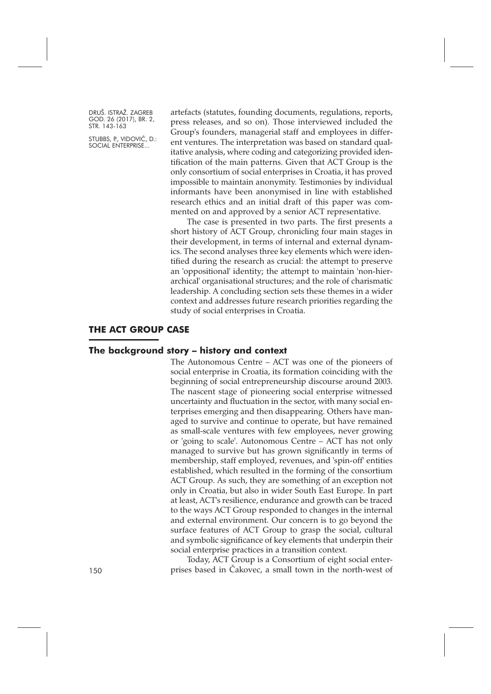STUBBS, P., VIDOVIĆ, D.: SOCIAL ENTERPRISE...

artefacts (statutes, founding documents, regulations, reports, press releases, and so on). Those interviewed included the Group's founders, managerial staff and employees in different ventures. The interpretation was based on standard qualitative analysis, where coding and categorizing provided identification of the main patterns. Given that ACT Group is the only consortium of social enterprises in Croatia, it has proved impossible to maintain anonymity. Testimonies by individual informants have been anonymised in line with established research ethics and an initial draft of this paper was commented on and approved by a senior ACT representative.

The case is presented in two parts. The first presents a short history of ACT Group, chronicling four main stages in their development, in terms of internal and external dynamics. The second analyses three key elements which were identified during the research as crucial: the attempt to preserve an 'oppositional' identity; the attempt to maintain 'non-hierarchical' organisational structures; and the role of charismatic leadership. A concluding section sets these themes in a wider context and addresses future research priorities regarding the study of social enterprises in Croatia.

# **THE ACT GROUP CASE**

## **The background story – history and context**

The Autonomous Centre – ACT was one of the pioneers of social enterprise in Croatia, its formation coinciding with the beginning of social entrepreneurship discourse around 2003. The nascent stage of pioneering social enterprise witnessed uncertainty and fluctuation in the sector, with many social enterprises emerging and then disappearing. Others have managed to survive and continue to operate, but have remained as small-scale ventures with few employees, never growing or 'going to scale'. Autonomous Centre – ACT has not only managed to survive but has grown significantly in terms of membership, staff employed, revenues, and 'spin-off' entities established, which resulted in the forming of the consortium ACT Group. As such, they are something of an exception not only in Croatia, but also in wider South East Europe. In part at least, ACT's resilience, endurance and growth can be traced to the ways ACT Group responded to changes in the internal and external environment. Our concern is to go beyond the surface features of ACT Group to grasp the social, cultural and symbolic significance of key elements that underpin their social enterprise practices in a transition context.

Today, ACT Group is a Consortium of eight social enterprises based in Čakovec, a small town in the north-west of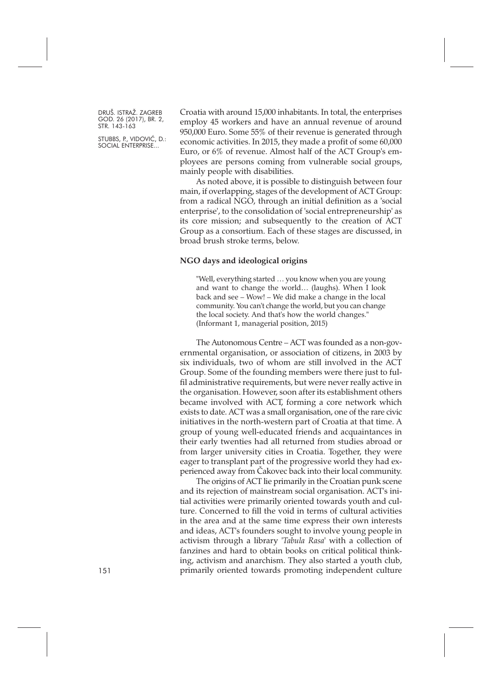STUBBS, P., VIDOVIĆ, D.: SOCIAL ENTERPRISE...

Croatia with around 15,000 inhabitants. In total, the enterprises employ 45 workers and have an annual revenue of around 950,000 Euro. Some 55% of their revenue is generated through economic activities. In 2015, they made a profit of some 60,000 Euro, or 6% of revenue. Almost half of the ACT Group's employees are persons coming from vulnerable social groups, mainly people with disabilities.

As noted above, it is possible to distinguish between four main, if overlapping, stages of the development of ACT Group: from a radical NGO, through an initial definition as a 'social enterprise', to the consolidation of 'social entrepreneurship' as its core mission; and subsequently to the creation of ACT Group as a consortium. Each of these stages are discussed, in broad brush stroke terms, below.

#### **NGO days and ideological origins**

"Well, everything started … you know when you are young and want to change the world… (laughs). When I look back and see – Wow! – We did make a change in the local community. You can't change the world, but you can change the local society. And that's how the world changes." (Informant 1, managerial position, 2015)

The Autonomous Centre – ACT was founded as a non-governmental organisation, or association of citizens, in 2003 by six individuals, two of whom are still involved in the ACT Group. Some of the founding members were there just to fulfil administrative requirements, but were never really active in the organisation. However, soon after its establishment others became involved with ACT, forming a core network which exists to date. ACT was a small organisation, one of the rare civic initiatives in the north-western part of Croatia at that time. A group of young well-educated friends and acquaintances in their early twenties had all returned from studies abroad or from larger university cities in Croatia. Together, they were eager to transplant part of the progressive world they had experienced away from Čakovec back into their local community.

The origins of ACT lie primarily in the Croatian punk scene and its rejection of mainstream social organisation. ACT's initial activities were primarily oriented towards youth and culture. Concerned to fill the void in terms of cultural activities in the area and at the same time express their own interests and ideas, ACT's founders sought to involve young people in activism through a library '*Tabula Rasa*' with a collection of fanzines and hard to obtain books on critical political thinking, activism and anarchism. They also started a youth club, 151 primarily oriented towards promoting independent culture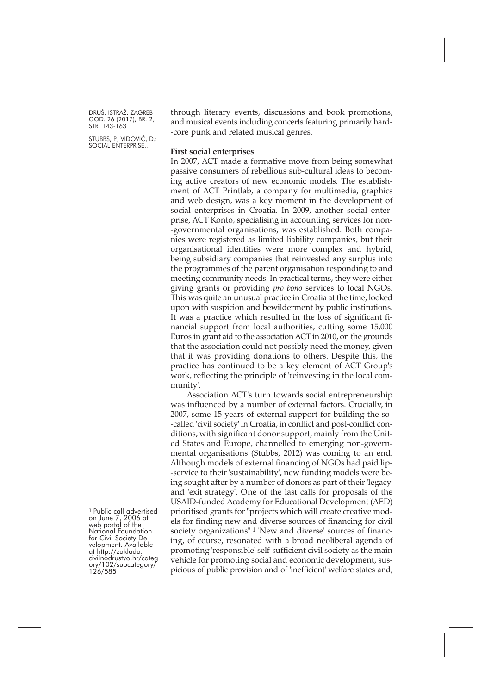STUBBS, P., VIDOVIĆ, D.: SOCIAL ENTERPRISE...

through literary events, discussions and book promotions, and musical events including concerts featuring primarily hard- -core punk and related musical genres.

#### **First social enterprises**

In 2007, ACT made a formative move from being somewhat passive consumers of rebellious sub-cultural ideas to becoming active creators of new economic models. The establishment of ACT Printlab, a company for multimedia, graphics and web design, was a key moment in the development of social enterprises in Croatia. In 2009, another social enterprise, ACT Konto, specialising in accounting services for non- -governmental organisations, was established. Both companies were registered as limited liability companies, but their organisational identities were more complex and hybrid, being subsidiary companies that reinvested any surplus into the programmes of the parent organisation responding to and meeting community needs. In practical terms, they were either giving grants or providing *pro bono* services to local NGOs. This was quite an unusual practice in Croatia at the time, looked upon with suspicion and bewilderment by public institutions. It was a practice which resulted in the loss of significant financial support from local authorities, cutting some 15,000 Euros in grant aid to the association ACT in 2010, on the grounds that the association could not possibly need the money, given that it was providing donations to others. Despite this, the practice has continued to be a key element of ACT Group's work, reflecting the principle of 'reinvesting in the local community'.

Association ACT's turn towards social entrepreneurship was influenced by a number of external factors. Crucially, in 2007, some 15 years of external support for building the so- -called 'civil society' in Croatia, in conflict and post-conflict conditions, with significant donor support, mainly from the United States and Europe, channelled to emerging non-governmental organisations (Stubbs, 2012) was coming to an end. Although models of external financing of NGOs had paid lip- -service to their 'sustainability', new funding models were being sought after by a number of donors as part of their 'legacy' and 'exit strategy'. One of the last calls for proposals of the USAID-funded Academy for Educational Development (AED) prioritised grants for "projects which will create creative models for finding new and diverse sources of financing for civil society organizations".<sup>1</sup> 'New and diverse' sources of financing, of course, resonated with a broad neoliberal agenda of promoting 'responsible' self-sufficient civil society as the main vehicle for promoting social and economic development, suspicious of public provision and of 'inefficient' welfare states and,

<sup>1</sup> Public call advertised on June 7, <sup>2006</sup> at web portal of the National Foundation for Civil Society De- velopment. Available at [http://zaklada.](http://zaklada.civilnodrustvo.hr/category/102/subcategory/126/585) [civilnodrustvo.hr/categ](http://zaklada.civilnodrustvo.hr/category/102/subcategory/126/585) [ory/102/subcategory/](http://zaklada.civilnodrustvo.hr/category/102/subcategory/126/585) [126/585](http://zaklada.civilnodrustvo.hr/category/102/subcategory/126/585)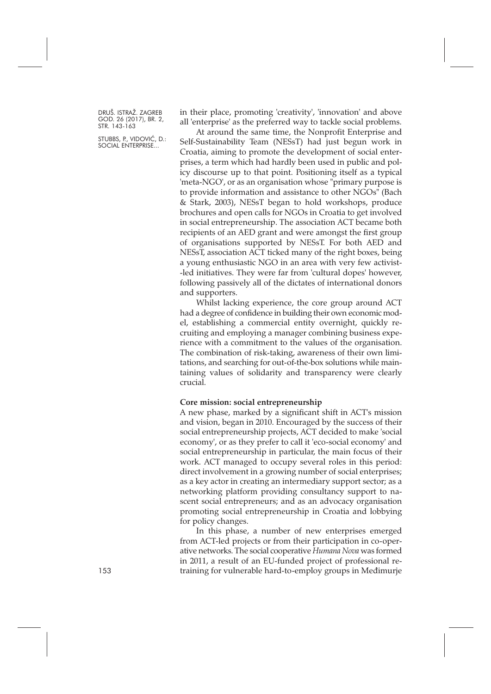STUBBS, P., VIDOVIĆ, D.: SOCIAL ENTERPRISE...

in their place, promoting 'creativity', 'innovation' and above all 'enterprise' as the preferred way to tackle social problems.

At around the same time, the Nonprofit Enterprise and Self-Sustainability Team (NESsT) had just begun work in Croatia, aiming to promote the development of social enterprises, a term which had hardly been used in public and policy discourse up to that point. Positioning itself as a typical 'meta-NGO', or as an organisation whose "primary purpose is to provide information and assistance to other NGOs" (Bach & Stark, 2003), NESsT began to hold workshops, produce brochures and open calls for NGOs in Croatia to get involved in social entrepreneurship. The association ACT became both recipients of an AED grant and were amongst the first group of organisations supported by NESsT. For both AED and NESsT, association ACT ticked many of the right boxes, being a young enthusiastic NGO in an area with very few activist- -led initiatives. They were far from 'cultural dopes' however, following passively all of the dictates of international donors and supporters.

Whilst lacking experience, the core group around ACT had a degree of confidence in building their own economic model, establishing a commercial entity overnight, quickly recruiting and employing a manager combining business experience with a commitment to the values of the organisation. The combination of risk-taking, awareness of their own limitations, and searching for out-of-the-box solutions while maintaining values of solidarity and transparency were clearly crucial.

#### **Core mission: social entrepreneurship**

A new phase, marked by a significant shift in ACT's mission and vision, began in 2010. Encouraged by the success of their social entrepreneurship projects, ACT decided to make 'social economy', or as they prefer to call it 'eco-social economy' and social entrepreneurship in particular, the main focus of their work. ACT managed to occupy several roles in this period: direct involvement in a growing number of social enterprises; as a key actor in creating an intermediary support sector; as a networking platform providing consultancy support to nascent social entrepreneurs; and as an advocacy organisation promoting social entrepreneurship in Croatia and lobbying for policy changes.

In this phase, a number of new enterprises emerged from ACT-led projects or from their participation in co-operative networks. The social cooperative *Humana Nova* was formed in 2011, a result of an EU-funded project of professional re-153 training for vulnerable hard-to-employ groups in Međimurje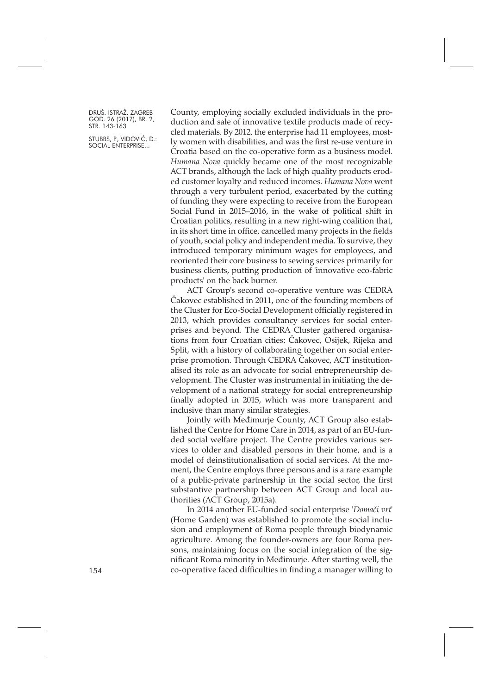STUBBS, P., VIDOVIĆ, D.: SOCIAL ENTERPRISE...

County, employing socially excluded individuals in the production and sale of innovative textile products made of recycled materials. By 2012, the enterprise had 11 employees, mostly women with disabilities, and was the first re-use venture in Croatia based on the co-operative form as a business model. *Humana Nova* quickly became one of the most recognizable ACT brands, although the lack of high quality products eroded customer loyalty and reduced incomes. *Humana Nova* went through a very turbulent period, exacerbated by the cutting of funding they were expecting to receive from the European Social Fund in 2015–2016, in the wake of political shift in Croatian politics, resulting in a new right-wing coalition that, in its short time in office, cancelled many projects in the fields of youth, social policy and independent media. To survive, they introduced temporary minimum wages for employees, and reoriented their core business to sewing services primarily for business clients, putting production of 'innovative eco-fabric products' on the back burner.

ACT Group's second co-operative venture was CEDRA Čakovec established in 2011, one of the founding members of the Cluster for Eco-Social Development officially registered in 2013, which provides consultancy services for social enterprises and beyond. The CEDRA Cluster gathered organisations from four Croatian cities: Čakovec, Osijek, Rijeka and Split, with a history of collaborating together on social enterprise promotion. Through CEDRA Čakovec, ACT institutionalised its role as an advocate for social entrepreneurship development. The Cluster was instrumental in initiating the development of a national strategy for social entrepreneurship finally adopted in 2015, which was more transparent and inclusive than many similar strategies.

Jointly with Međimurje County, ACT Group also established the Centre for Home Care in 2014, as part of an EU-funded social welfare project. The Centre provides various services to older and disabled persons in their home, and is a model of deinstitutionalisation of social services. At the moment, the Centre employs three persons and is a rare example of a public-private partnership in the social sector, the first substantive partnership between ACT Group and local authorities (ACT Group, 2015a).

In 2014 another EU-funded social enterprise '*Domači vrt*' (Home Garden) was established to promote the social inclusion and employment of Roma people through biodynamic agriculture. Among the founder-owners are four Roma persons, maintaining focus on the social integration of the significant Roma minority in Međimurje. After starting well, the co-operative faced difficulties in finding a manager willing to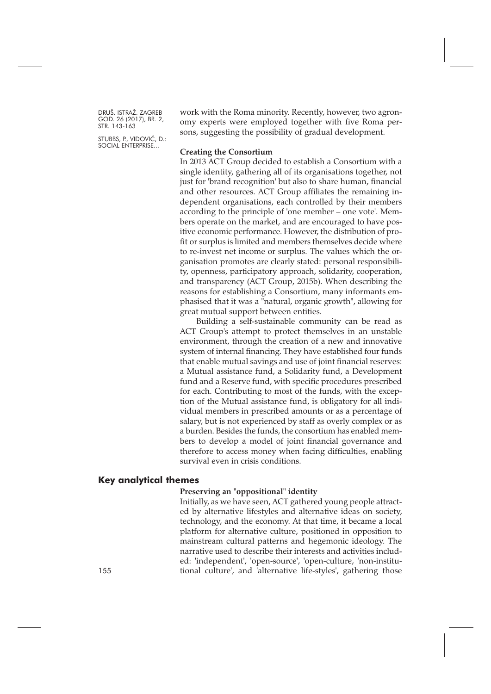STUBBS, P., VIDOVIĆ, D.: SOCIAL ENTERPRISE...

work with the Roma minority. Recently, however, two agronomy experts were employed together with five Roma persons, suggesting the possibility of gradual development.

#### **Creating the Consortium**

In 2013 ACT Group decided to establish a Consortium with a single identity, gathering all of its organisations together, not just for 'brand recognition' but also to share human, financial and other resources. ACT Group affiliates the remaining independent organisations, each controlled by their members according to the principle of 'one member – one vote'. Members operate on the market, and are encouraged to have positive economic performance. However, the distribution of profit or surplus is limited and members themselves decide where to re-invest net income or surplus. The values which the organisation promotes are clearly stated: personal responsibility, openness, participatory approach, solidarity, cooperation, and transparency (ACT Group, 2015b). When describing the reasons for establishing a Consortium, many informants emphasised that it was a "natural, organic growth", allowing for great mutual support between entities.

Building a self-sustainable community can be read as ACT Group's attempt to protect themselves in an unstable environment, through the creation of a new and innovative system of internal financing. They have established four funds that enable mutual savings and use of joint financial reserves: a Mutual assistance fund, a Solidarity fund, a Development fund and a Reserve fund, with specific procedures prescribed for each. Contributing to most of the funds, with the exception of the Mutual assistance fund, is obligatory for all individual members in prescribed amounts or as a percentage of salary, but is not experienced by staff as overly complex or as a burden. Besides the funds, the consortium has enabled members to develop a model of joint financial governance and therefore to access money when facing difficulties, enabling survival even in crisis conditions.

## **Key analytical themes**

#### **Preserving an "oppositional" identity**

Initially, as we have seen, ACT gathered young people attracted by alternative lifestyles and alternative ideas on society, technology, and the economy. At that time, it became a local platform for alternative culture, positioned in opposition to mainstream cultural patterns and hegemonic ideology. The narrative used to describe their interests and activities included: 'independent', 'open-source', 'open-culture, 'non-institu-155 tional culture', and 'alternative life-styles', gathering those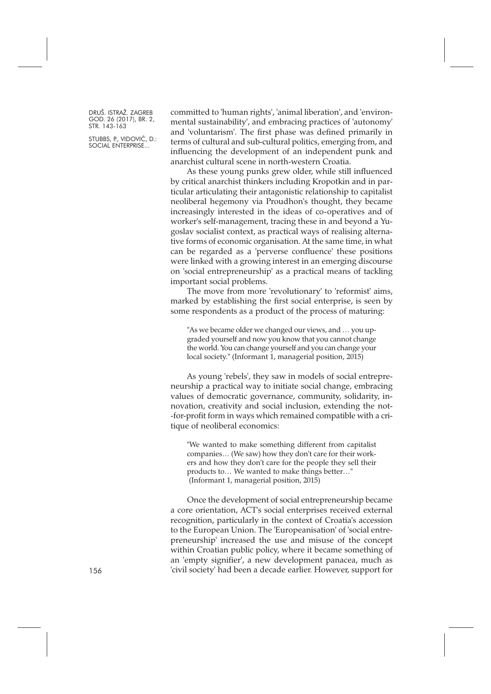STUBBS, P., VIDOVIĆ, D.: SOCIAL ENTERPRISE...

committed to 'human rights', 'animal liberation', and 'environmental sustainability', and embracing practices of 'autonomy' and 'voluntarism'. The first phase was defined primarily in terms of cultural and sub-cultural politics, emerging from, and influencing the development of an independent punk and anarchist cultural scene in north-western Croatia.

As these young punks grew older, while still influenced by critical anarchist thinkers including Kropotkin and in particular articulating their antagonistic relationship to capitalist neoliberal hegemony via Proudhon's thought, they became increasingly interested in the ideas of co-operatives and of worker's self-management, tracing these in and beyond a Yugoslav socialist context, as practical ways of realising alternative forms of economic organisation. At the same time, in what can be regarded as a 'perverse confluence' these positions were linked with a growing interest in an emerging discourse on 'social entrepreneurship' as a practical means of tackling important social problems.

The move from more 'revolutionary' to 'reformist' aims, marked by establishing the first social enterprise, is seen by some respondents as a product of the process of maturing:

"As we became older we changed our views, and … you upgraded yourself and now you know that you cannot change the world. You can change yourself and you can change your local society." (Informant 1, managerial position, 2015)

As young 'rebels', they saw in models of social entrepreneurship a practical way to initiate social change, embracing values of democratic governance, community, solidarity, innovation, creativity and social inclusion, extending the not- -for-profit form in ways which remained compatible with a critique of neoliberal economics:

"We wanted to make something different from capitalist companies… (We saw) how they don't care for their workers and how they don't care for the people they sell their products to… We wanted to make things better…" (Informant 1, managerial position, 2015)

Once the development of social entrepreneurship became a core orientation, ACT's social enterprises received external recognition, particularly in the context of Croatia's accession to the European Union. The 'Europeanisation' of 'social entrepreneurship' increased the use and misuse of the concept within Croatian public policy, where it became something of an 'empty signifier', a new development panacea, much as 'civil society' had been a decade earlier. However, support for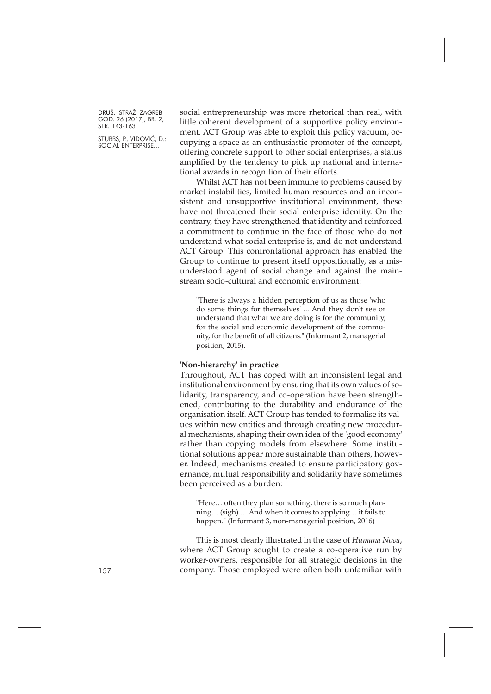STUBBS, P., VIDOVIĆ, D.: SOCIAL ENTERPRISE...

social entrepreneurship was more rhetorical than real, with little coherent development of a supportive policy environment. ACT Group was able to exploit this policy vacuum, occupying a space as an enthusiastic promoter of the concept, offering concrete support to other social enterprises, a status amplified by the tendency to pick up national and international awards in recognition of their efforts.

Whilst ACT has not been immune to problems caused by market instabilities, limited human resources and an inconsistent and unsupportive institutional environment, these have not threatened their social enterprise identity. On the contrary, they have strengthened that identity and reinforced a commitment to continue in the face of those who do not understand what social enterprise is, and do not understand ACT Group. This confrontational approach has enabled the Group to continue to present itself oppositionally, as a misunderstood agent of social change and against the mainstream socio-cultural and economic environment:

"There is always a hidden perception of us as those 'who do some things for themselves' ... And they don't see or understand that what we are doing is for the community, for the social and economic development of the community, for the benefit of all citizens." (Informant 2, managerial position, 2015).

## **'Non-hierarchy' in practice**

Throughout, ACT has coped with an inconsistent legal and institutional environment by ensuring that its own values of solidarity, transparency, and co-operation have been strengthened, contributing to the durability and endurance of the organisation itself. ACT Group has tended to formalise its values within new entities and through creating new procedural mechanisms, shaping their own idea of the 'good economy' rather than copying models from elsewhere. Some institutional solutions appear more sustainable than others, however. Indeed, mechanisms created to ensure participatory governance, mutual responsibility and solidarity have sometimes been perceived as a burden:

"Here… often they plan something, there is so much planning… (sigh) … And when it comes to applying… it fails to happen." (Informant 3, non-managerial position, 2016)

This is most clearly illustrated in the case of *Humana Nova*, where ACT Group sought to create a co-operative run by worker-owners, responsible for all strategic decisions in the 157 company. Those employed were often both unfamiliar with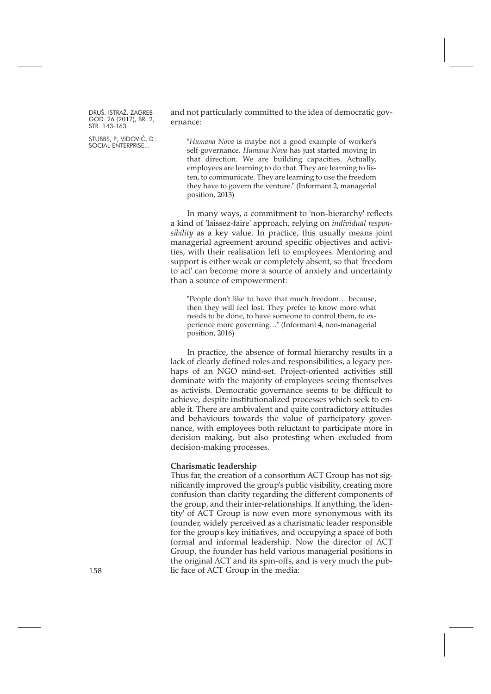#### STUBBS, P., VIDOVIĆ, D.: SOCIAL ENTERPRISE...

and not particularly committed to the idea of democratic governance:

"*Humana Nova* is maybe not a good example of worker's self-governance. *Humana Nova* has just started moving in that direction. We are building capacities. Actually, employees are learning to do that. They are learning to listen, to communicate. They are learning to use the freedom they have to govern the venture." (Informant 2, managerial position, 2013)

In many ways, a commitment to 'non-hierarchy' reflects a kind of 'laissez-faire' approach, relying on *individual responsibility* as a key value. In practice, this usually means joint managerial agreement around specific objectives and activities, with their realisation left to employees. Mentoring and support is either weak or completely absent, so that 'freedom to act' can become more a source of anxiety and uncertainty than a source of empowerment:

"People don't like to have that much freedom… because, then they will feel lost. They prefer to know more what needs to be done, to have someone to control them, to experience more governing…" (Informant 4, non-managerial position, 2016)

In practice, the absence of formal hierarchy results in a lack of clearly defined roles and responsibilities, a legacy perhaps of an NGO mind-set. Project-oriented activities still dominate with the majority of employees seeing themselves as activists. Democratic governance seems to be difficult to achieve, despite institutionalized processes which seek to enable it. There are ambivalent and quite contradictory attitudes and behaviours towards the value of participatory governance, with employees both reluctant to participate more in decision making, but also protesting when excluded from decision-making processes.

#### **Charismatic leadership**

Thus far, the creation of a consortium ACT Group has not significantly improved the group's public visibility, creating more confusion than clarity regarding the different components of the group, and their inter-relationships. If anything, the 'identity' of ACT Group is now even more synonymous with its founder, widely perceived as a charismatic leader responsible for the group's key initiatives, and occupying a space of both formal and informal leadership. Now the director of ACT Group, the founder has held various managerial positions in the original ACT and its spin-offs, and is very much the public face of ACT Group in the media: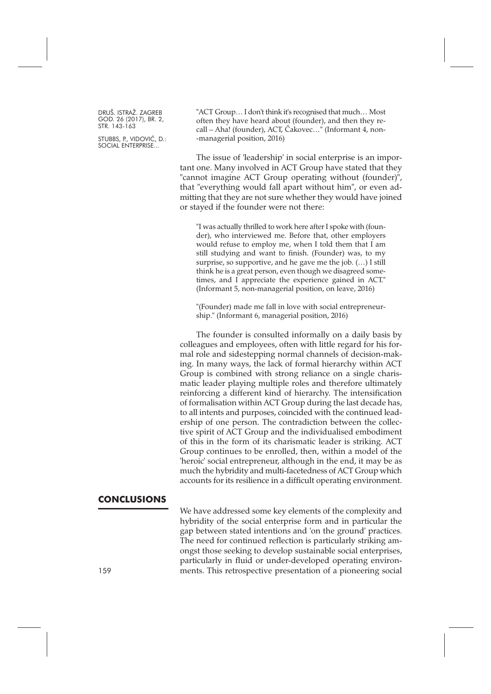STUBBS, P., VIDOVIĆ, D.: SOCIAL ENTERPRISE...

"ACT Group… I don't think it's recognised that much… Most often they have heard about (founder), and then they recall – Aha! (founder), ACT, Čakovec…" (Informant 4, non- -managerial position, 2016)

The issue of 'leadership' in social enterprise is an important one. Many involved in ACT Group have stated that they "cannot imagine ACT Group operating without (founder)", that "everything would fall apart without him", or even admitting that they are not sure whether they would have joined or stayed if the founder were not there:

"I was actually thrilled to work here after I spoke with (founder), who interviewed me. Before that, other employers would refuse to employ me, when I told them that I am still studying and want to finish. (Founder) was, to my surprise, so supportive, and he gave me the job. (…) I still think he is a great person, even though we disagreed sometimes, and I appreciate the experience gained in ACT." (Informant 5, non-managerial position, on leave, 2016)

"(Founder) made me fall in love with social entrepreneurship." (Informant 6, managerial position, 2016)

The founder is consulted informally on a daily basis by colleagues and employees, often with little regard for his formal role and sidestepping normal channels of decision-making. In many ways, the lack of formal hierarchy within ACT Group is combined with strong reliance on a single charismatic leader playing multiple roles and therefore ultimately reinforcing a different kind of hierarchy. The intensification of formalisation within ACT Group during the last decade has, to all intents and purposes, coincided with the continued leadership of one person. The contradiction between the collective spirit of ACT Group and the individualised embodiment of this in the form of its charismatic leader is striking. ACT Group continues to be enrolled, then, within a model of the 'heroic' social entrepreneur, although in the end, it may be as much the hybridity and multi-facetedness of ACT Group which accounts for its resilience in a difficult operating environment.

## **CONCLUSIONS**

We have addressed some key elements of the complexity and hybridity of the social enterprise form and in particular the gap between stated intentions and 'on the ground' practices. The need for continued reflection is particularly striking amongst those seeking to develop sustainable social enterprises, particularly in fluid or under-developed operating environ-159 ments. This retrospective presentation of a pioneering social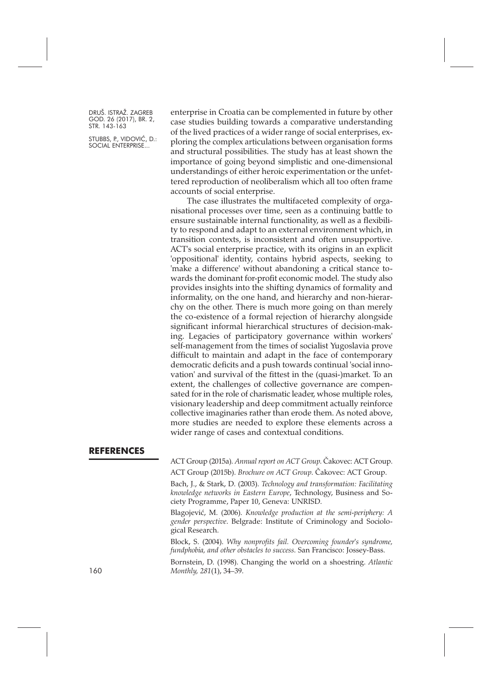STUBBS, P., VIDOVIĆ, D.: SOCIAL ENTERPRISE...

enterprise in Croatia can be complemented in future by other case studies building towards a comparative understanding of the lived practices of a wider range of social enterprises, exploring the complex articulations between organisation forms and structural possibilities. The study has at least shown the importance of going beyond simplistic and one-dimensional understandings of either heroic experimentation or the unfettered reproduction of neoliberalism which all too often frame accounts of social enterprise.

The case illustrates the multifaceted complexity of organisational processes over time, seen as a continuing battle to ensure sustainable internal functionality, as well as a flexibility to respond and adapt to an external environment which, in transition contexts, is inconsistent and often unsupportive. ACT's social enterprise practice, with its origins in an explicit 'oppositional' identity, contains hybrid aspects, seeking to 'make a difference' without abandoning a critical stance towards the dominant for-profit economic model. The study also provides insights into the shifting dynamics of formality and informality, on the one hand, and hierarchy and non-hierarchy on the other. There is much more going on than merely the co-existence of a formal rejection of hierarchy alongside significant informal hierarchical structures of decision-making. Legacies of participatory governance within workers' self-management from the times of socialist Yugoslavia prove difficult to maintain and adapt in the face of contemporary democratic deficits and a push towards continual 'social innovation' and survival of the fittest in the (quasi-)market. To an extent, the challenges of collective governance are compensated for in the role of charismatic leader, whose multiple roles, visionary leadership and deep commitment actually reinforce collective imaginaries rather than erode them. As noted above, more studies are needed to explore these elements across a wider range of cases and contextual conditions.

# **REFERENCES**

ACT Group (2015a). *Annual report on ACT Group*. Čakovec: ACT Group.

ACT Group (2015b). *Brochure on ACT Group*. Čakovec: ACT Group.

Bach, J., & Stark, D. (2003). *Technology and transformation: Facilitating knowledge networks in Eastern Europe*, Technology, Business and Society Programme, Paper 10, Geneva: UNRISD.

Blagojević, M. (2006). *Knowledge production at the semi-periphery: A gender perspective*. Belgrade: Institute of Criminology and Sociological Research.

Block, S. (2004). *Why nonprofits fail. Overcoming founder's syndrome, fundphobia, and other obstacles to success*. San Francisco: Jossey-Bass.

Bornstein, D. (1998). Changing the world on a shoestring. *Atlantic Monthly, 281*(1), 34–39.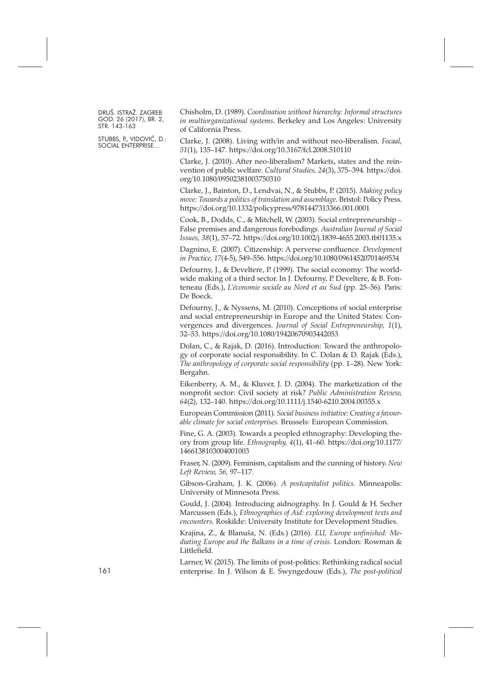STUBBS, P., VIDOVIĆ, D.: SOCIAL ENTERPRISE...

Chisholm, D. (1989). *Coordination without hierarchy: Informal structures in multiorganizational systems*. Berkeley and Los Angeles: University of California Press.

Clarke, J. (2008). Living with/in and without neo-liberalism. *Focaal, 51*(1), 135–147. <https://doi.org/10.3167/fcl.2008.510110>

Clarke, J. (2010). After neo-liberalism? Markets, states and the reinvention of public welfare. *Cultural Studies, 24*(3), 375–394. [https://doi.](https://doi.org/10.1080/09502381003750310) [org/10.1080/09502381003750310](https://doi.org/10.1080/09502381003750310)

Clarke, J., Bainton, D., Lendvai, N., & Stubbs, P. (2015). *Making policy move: Towards a politics of translation and assemblage*. Bristol: Policy Press. <https://doi.org/10.1332/policypress/9781447313366.001.0001>

Cook, B., Dodds, C., & Mitchell, W. (2003). Social entrepreneurship – False premises and dangerous forebodings. *Australian Journal of Social Issues, 38*(1), 57–72. <https://doi.org/10.1002/j.1839-4655.2003.tb01135.x>

Dagnino, E. (2007). Citizenship: A perverse confluence. *Development in Practice, 17*(4-5), 549–556. <https://doi.org/10.1080/09614520701469534>

Defourny, J., & Develtere, P. (1999). The social economy: The worldwide making of a third sector. In J. Defourny, P. Develtere, & B. Fonteneau (Eds.), *L'économie sociale au Nord et au Sud* (pp. 25–56). Paris: De Boeck.

Defourny, J., & Nyssens, M. (2010). Conceptions of social enterprise and social entrepreneurship in Europe and the United States: Convergences and divergences. *Journal of Social Entrepreneurship, 1*(1), 32–53. <https://doi.org/10.1080/19420670903442053>

Dolan, C., & Rajak, D. (2016). Introduction: Toward the anthropology of corporate social responsibility. In C. Dolan & D. Rajak (Eds.), *The anthropology of corporate social responsibility* (pp. 1–28). New York: Bergahn.

Eikenberry, A. M., & Kluver, J. D. (2004). The marketization of the nonprofit sector: Civil society at risk? *Public Administration Review, 64*(2), 132–140. <https://doi.org/10.1111/j.1540-6210.2004.00355.x>

European Commission (2011). *Social business initiative: Creating a favourable climate for social enterprises.* Brussels: European Commission.

Fine, G. A. (2003). Towards a peopled ethnography: Developing theory from group life. *Ethnography, 4*(1), 41–60. [https://doi.org/10.1177/](https://doi.org/10.1177/1466138103004001003) [1466138103004001003](https://doi.org/10.1177/1466138103004001003)

Fraser, N. (2009). Feminism, capitalism and the cunning of history. *New Left Review, 56,* 97–117.

Gibson-Graham, J. K. (2006). *A postcapitalist politics*. Minneapolis: University of Minnesota Press.

Gould, J. (2004). Introducing aidnography. In J. Gould & H. Secher Marcussen (Eds.), *Ethnographies of Aid: exploring development texts and encounters*. Roskilde: University Institute for Development Studies.

Krajina, Z., & Blanuša, N. (Eds.) (2016). *EU, Europe unfinished: Mediating Europe and the Balkans in a time of crisis*. London: Rowman & Littlefield.

Larner, W. (2015). The limits of post-politics: Rethinking radical social 161 enterprise. In J. Wilson & E. Swyngedouw (Eds.), *The post-political*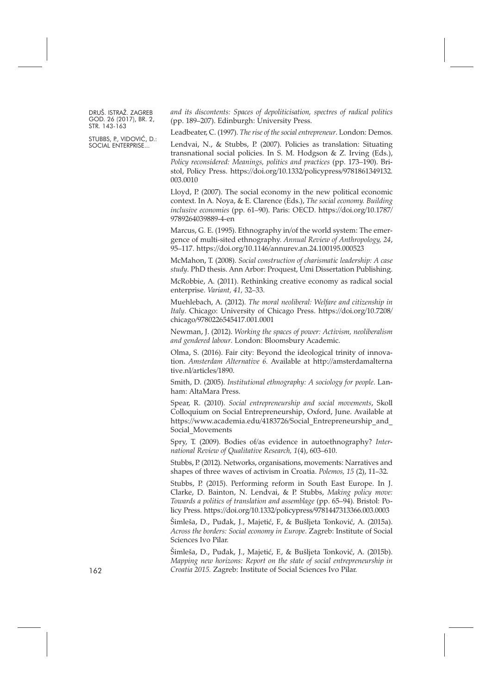STUBBS, P., VIDOVIĆ, D.: SOCIAL ENTERPRISE...

*and its discontents: Spaces of depoliticisation, spectres of radical politics* (pp. 189–207). Edinburgh: University Press.

Leadbeater, C. (1997). *The rise of the social entrepreneur*. London: Demos.

Lendvai, N., & Stubbs, P. (2007). Policies as translation: Situating transnational social policies. In S. M. Hodgson & Z. Irving (Eds.), *Policy reconsidered: Meanings, politics and practices* (pp. 173–190). Bristol, Policy Press. [https://doi.org/10.1332/policypress/9781861349132.](https://doi.org/10.1332/policypress/9781861349132.003.0010) [003.0010](https://doi.org/10.1332/policypress/9781861349132.003.0010)

Lloyd, P. (2007). The social economy in the new political economic context. In A. Noya, & E. Clarence (Eds.), *The social economy. Building inclusive economies* (pp. 61–90). Paris: OECD. [https://doi.org/10.1787/](https://doi.org/10.1787/9789264039889-4-en) [9789264039889-4-en](https://doi.org/10.1787/9789264039889-4-en)

Marcus, G. E. (1995). Ethnography in/of the world system: The emergence of multi-sited ethnography. *Annual Review of Anthropology, 24*, 95–117. <https://doi.org/10.1146/annurev.an.24.100195.000523>

McMahon, T. (2008). *Social construction of charismatic leadership: A case study*. PhD thesis. Ann Arbor: Proquest, Umi Dissertation Publishing.

McRobbie, A. (2011). Rethinking creative economy as radical social enterprise. *Variant, 41,* 32–33.

Muehlebach, A. (2012). *The moral neoliberal: Welfare and citizenship in Italy*. Chicago: University of Chicago Press. [https://doi.org/10.7208/](https://doi.org/10.7208/chicago/9780226545417.001.0001) [chicago/9780226545417.001.0001](https://doi.org/10.7208/chicago/9780226545417.001.0001)

Newman, J. (2012). *Working the spaces of power: Activism, neoliberalism and gendered labour*. London: Bloomsbury Academic.

Olma, S. (2016). Fair city: Beyond the ideological trinity of innovation. *Amsterdam Alternative 6.* Available at [http://amsterdamalterna](http://amsterdamalternative.nl/articles/1890) [tive.nl/articles/1890.](http://amsterdamalternative.nl/articles/1890)

Smith, D. (2005). *Institutional ethnography: A sociology for people*. Lanham: AltaMara Press.

Spear, R. (2010). *Social entrepreneurship and social movements*, Skoll Colloquium on Social Entrepreneurship, Oxford, June. Available at https://www.academia.edu/4183726/Social\_Entrepreneurship\_and [Social\\_Movements](https://www.academia.edu/4183726/Social_Entrepreneurship_and_Social_Movements)

Spry, T. (2009). Bodies of/as evidence in autoethnography? *International Review of Qualitative Research, 1*(4), 603–610.

Stubbs, P. (2012). Networks, organisations, movements: Narratives and shapes of three waves of activism in Croatia. *Polemos, 15* (2), 11–32.

Stubbs, P. (2015). Performing reform in South East Europe. In J. Clarke, D. Bainton, N. Lendvai, & P. Stubbs, *Making policy move: Towards a politics of translation and assemblage* (pp. 65–94). Bristol: Policy Press. <https://doi.org/10.1332/policypress/9781447313366.003.0003>

Šimleša, D., Puđak, J., Majetić, F., & Bušljeta Tonković, A. (2015a). *Across the borders: Social economy in Europe*. Zagreb: Institute of Social Sciences Ivo Pilar.

Šimleša, D., Puđak, J., Majetić, F., & Bušljeta Tonković, A. (2015b). *Mapping new horizons: Report on the state of social entrepreneurship in Croatia 2015.* Zagreb: Institute of Social Sciences Ivo Pilar.